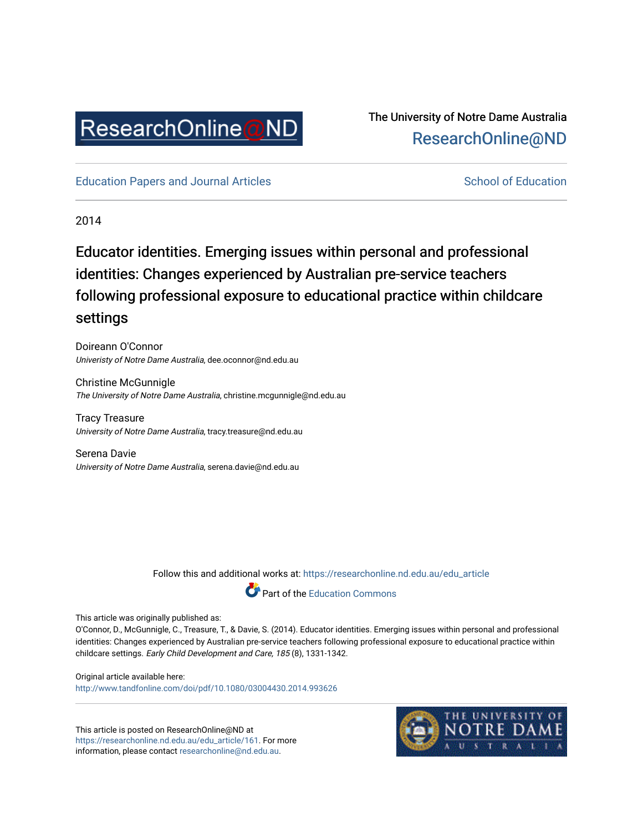

# The University of Notre Dame Australia [ResearchOnline@ND](https://researchonline.nd.edu.au/)

[Education Papers and Journal Articles](https://researchonline.nd.edu.au/edu_article) [School of Education](https://researchonline.nd.edu.au/edu) School of Education

2014

Educator identities. Emerging issues within personal and professional identities: Changes experienced by Australian pre-service teachers following professional exposure to educational practice within childcare settings

Doireann O'Connor Univeristy of Notre Dame Australia, dee.oconnor@nd.edu.au

Christine McGunnigle The University of Notre Dame Australia, christine.mcgunnigle@nd.edu.au

Tracy Treasure University of Notre Dame Australia, tracy.treasure@nd.edu.au

Serena Davie University of Notre Dame Australia, serena.davie@nd.edu.au

Follow this and additional works at: [https://researchonline.nd.edu.au/edu\\_article](https://researchonline.nd.edu.au/edu_article?utm_source=researchonline.nd.edu.au%2Fedu_article%2F161&utm_medium=PDF&utm_campaign=PDFCoverPages)



This article was originally published as:

O'Connor, D., McGunnigle, C., Treasure, T., & Davie, S. (2014). Educator identities. Emerging issues within personal and professional identities: Changes experienced by Australian pre-service teachers following professional exposure to educational practice within childcare settings. Early Child Development and Care, 185 (8), 1331-1342.

Original article available here: <http://www.tandfonline.com/doi/pdf/10.1080/03004430.2014.993626>

This article is posted on ResearchOnline@ND at [https://researchonline.nd.edu.au/edu\\_article/161](https://researchonline.nd.edu.au/edu_article/161). For more information, please contact [researchonline@nd.edu.au.](mailto:researchonline@nd.edu.au)

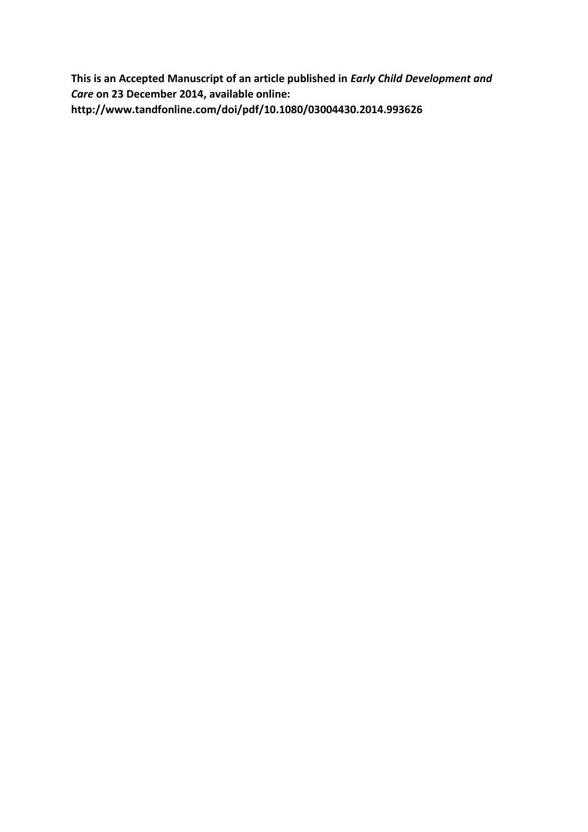**This is an Accepted Manuscript of an article published in** *Early Child Development and Care* **on 23 December 2014, available online: http://www.tandfonline.com/doi/pdf/10.1080/03004430.2014.993626**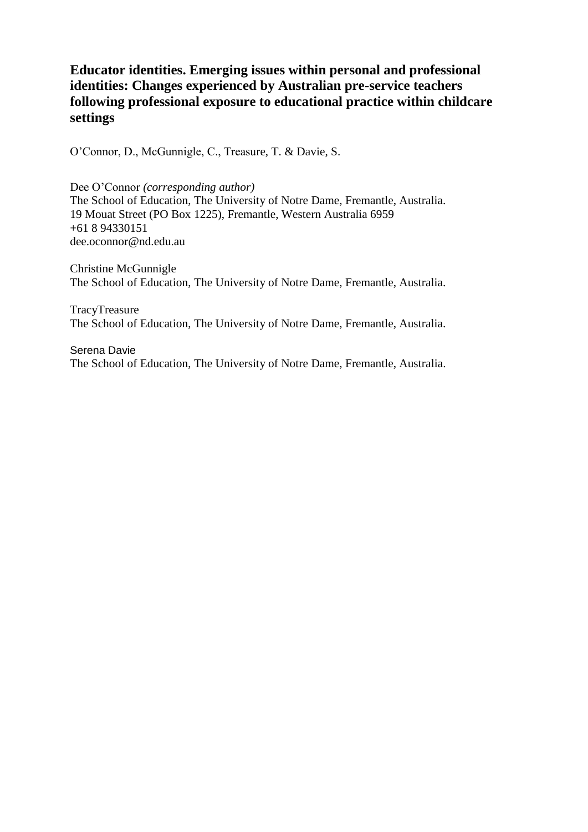**Educator identities. Emerging issues within personal and professional identities: Changes experienced by Australian pre-service teachers following professional exposure to educational practice within childcare settings** 

O'Connor, D., McGunnigle, C., Treasure, T. & Davie, S.

Dee O'Connor *(corresponding author)* The School of Education, The University of Notre Dame, Fremantle, Australia. 19 Mouat Street (PO Box 1225), Fremantle, Western Australia 6959 +61 8 94330151 dee.oconnor@nd.edu.au

Christine McGunnigle The School of Education, The University of Notre Dame, Fremantle, Australia.

**TracyTreasure** The School of Education, The University of Notre Dame, Fremantle, Australia.

Serena Davie The School of Education, The University of Notre Dame, Fremantle, Australia.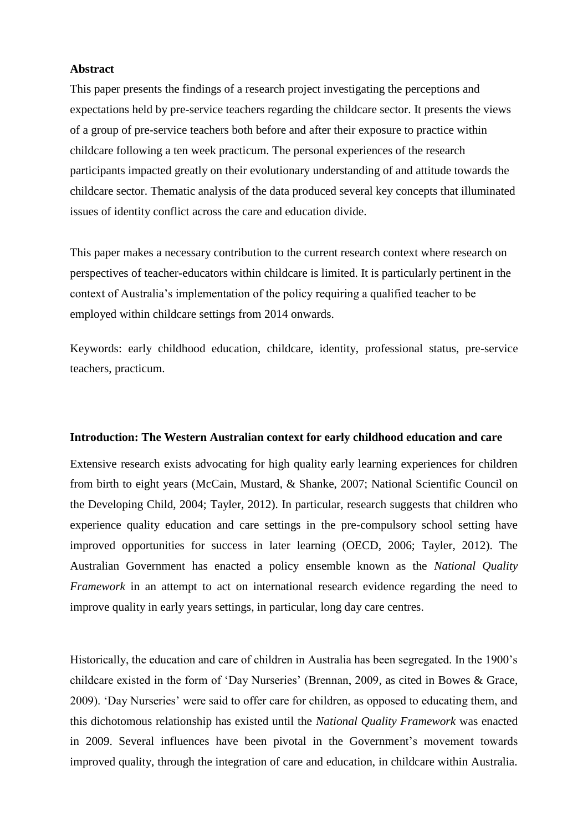#### **Abstract**

This paper presents the findings of a research project investigating the perceptions and expectations held by pre-service teachers regarding the childcare sector. It presents the views of a group of pre-service teachers both before and after their exposure to practice within childcare following a ten week practicum. The personal experiences of the research participants impacted greatly on their evolutionary understanding of and attitude towards the childcare sector. Thematic analysis of the data produced several key concepts that illuminated issues of identity conflict across the care and education divide.

This paper makes a necessary contribution to the current research context where research on perspectives of teacher-educators within childcare is limited. It is particularly pertinent in the context of Australia's implementation of the policy requiring a qualified teacher to be employed within childcare settings from 2014 onwards.

Keywords: early childhood education, childcare, identity, professional status, pre-service teachers, practicum.

### **Introduction: The Western Australian context for early childhood education and care**

Extensive research exists advocating for high quality early learning experiences for children from birth to eight years (McCain, Mustard, & Shanke, 2007; National Scientific Council on the Developing Child, 2004; Tayler, 2012). In particular, research suggests that children who experience quality education and care settings in the pre-compulsory school setting have improved opportunities for success in later learning (OECD, 2006; Tayler, 2012). The Australian Government has enacted a policy ensemble known as the *National Quality Framework* in an attempt to act on international research evidence regarding the need to improve quality in early years settings, in particular, long day care centres.

Historically, the education and care of children in Australia has been segregated. In the 1900's childcare existed in the form of 'Day Nurseries' (Brennan, 2009, as cited in Bowes & Grace, 2009). 'Day Nurseries' were said to offer care for children, as opposed to educating them, and this dichotomous relationship has existed until the *National Quality Framework* was enacted in 2009. Several influences have been pivotal in the Government's movement towards improved quality, through the integration of care and education, in childcare within Australia.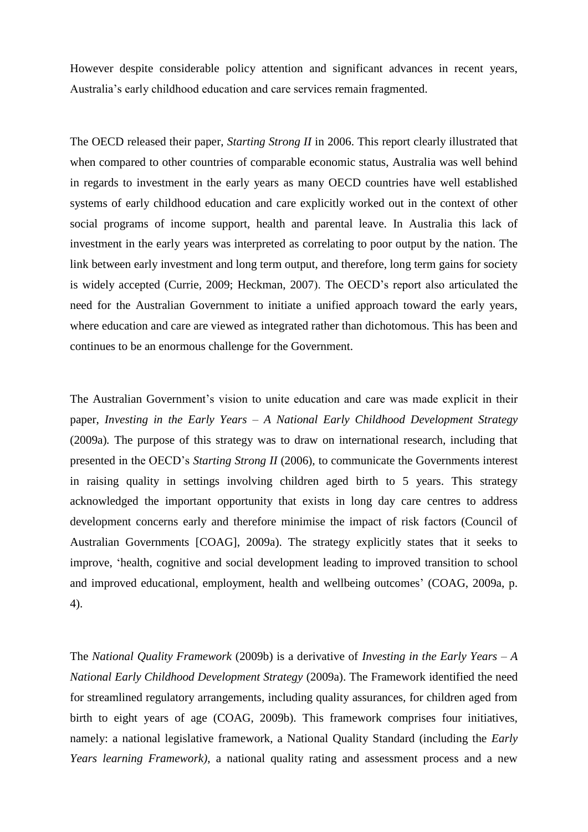However despite considerable policy attention and significant advances in recent years, Australia's early childhood education and care services remain fragmented.

The OECD released their paper, *Starting Strong II* in 2006. This report clearly illustrated that when compared to other countries of comparable economic status, Australia was well behind in regards to investment in the early years as many OECD countries have well established systems of early childhood education and care explicitly worked out in the context of other social programs of income support, health and parental leave. In Australia this lack of investment in the early years was interpreted as correlating to poor output by the nation. The link between early investment and long term output, and therefore, long term gains for society is widely accepted (Currie, 2009; Heckman, 2007). The OECD's report also articulated the need for the Australian Government to initiate a unified approach toward the early years, where education and care are viewed as integrated rather than dichotomous. This has been and continues to be an enormous challenge for the Government.

The Australian Government's vision to unite education and care was made explicit in their paper, *Investing in the Early Years – A National Early Childhood Development Strategy*  (2009a)*.* The purpose of this strategy was to draw on international research, including that presented in the OECD's *Starting Strong II* (2006)*,* to communicate the Governments interest in raising quality in settings involving children aged birth to 5 years. This strategy acknowledged the important opportunity that exists in long day care centres to address development concerns early and therefore minimise the impact of risk factors (Council of Australian Governments [COAG], 2009a). The strategy explicitly states that it seeks to improve, 'health, cognitive and social development leading to improved transition to school and improved educational, employment, health and wellbeing outcomes' (COAG, 2009a, p. 4).

The *National Quality Framework* (2009b) is a derivative of *Investing in the Early Years – A National Early Childhood Development Strategy* (2009a). The Framework identified the need for streamlined regulatory arrangements, including quality assurances, for children aged from birth to eight years of age (COAG, 2009b). This framework comprises four initiatives, namely: a national legislative framework, a National Quality Standard (including the *Early Years learning Framework)*, a national quality rating and assessment process and a new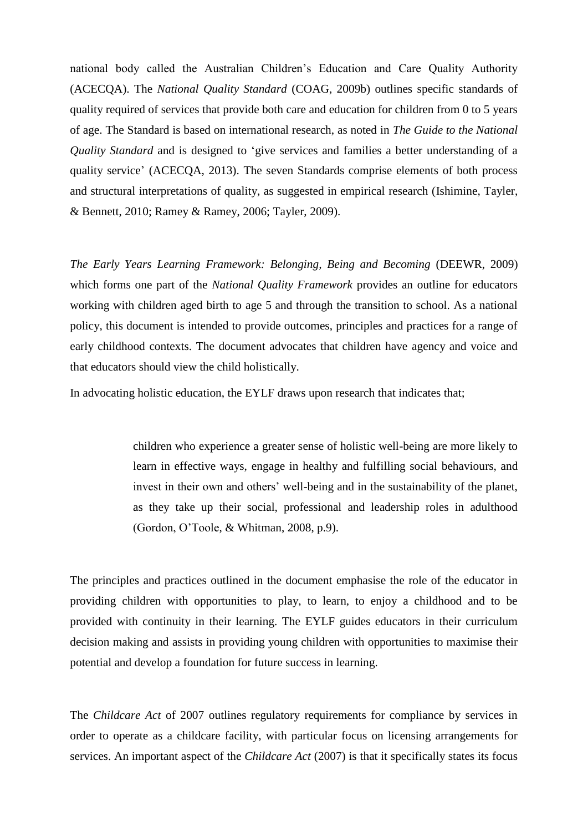national body called the Australian Children's Education and Care Quality Authority (ACECQA). The *National Quality Standard* (COAG, 2009b) outlines specific standards of quality required of services that provide both care and education for children from 0 to 5 years of age. The Standard is based on international research, as noted in *The Guide to the National Quality Standard* and is designed to 'give services and families a better understanding of a quality service' (ACECQA, 2013). The seven Standards comprise elements of both process and structural interpretations of quality, as suggested in empirical research (Ishimine, Tayler, & Bennett, 2010; Ramey & Ramey, 2006; Tayler, 2009).

*The Early Years Learning Framework: Belonging, Being and Becoming* (DEEWR, 2009) which forms one part of the *National Quality Framework* provides an outline for educators working with children aged birth to age 5 and through the transition to school. As a national policy, this document is intended to provide outcomes, principles and practices for a range of early childhood contexts. The document advocates that children have agency and voice and that educators should view the child holistically.

In advocating holistic education, the EYLF draws upon research that indicates that;

children who experience a greater sense of holistic well-being are more likely to learn in effective ways, engage in healthy and fulfilling social behaviours, and invest in their own and others' well-being and in the sustainability of the planet, as they take up their social, professional and leadership roles in adulthood (Gordon, O'Toole, & Whitman, 2008, p.9).

The principles and practices outlined in the document emphasise the role of the educator in providing children with opportunities to play, to learn, to enjoy a childhood and to be provided with continuity in their learning. The EYLF guides educators in their curriculum decision making and assists in providing young children with opportunities to maximise their potential and develop a foundation for future success in learning.

The *Childcare Act* of 2007 outlines regulatory requirements for compliance by services in order to operate as a childcare facility, with particular focus on licensing arrangements for services. An important aspect of the *Childcare Act* (2007) is that it specifically states its focus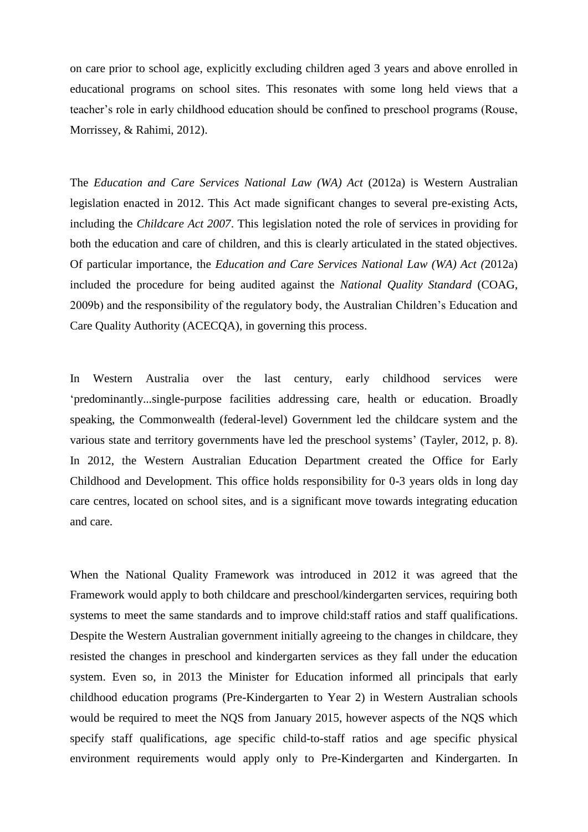on care prior to school age, explicitly excluding children aged 3 years and above enrolled in educational programs on school sites. This resonates with some long held views that a teacher's role in early childhood education should be confined to preschool programs (Rouse, Morrissey, & Rahimi, 2012).

The *Education and Care Services National Law (WA) Act* (2012a) is Western Australian legislation enacted in 2012. This Act made significant changes to several pre-existing Acts, including the *Childcare Act 2007*. This legislation noted the role of services in providing for both the education and care of children, and this is clearly articulated in the stated objectives. Of particular importance, the *Education and Care Services National Law (WA) Act (*2012a) included the procedure for being audited against the *National Quality Standard* (COAG, 2009b) and the responsibility of the regulatory body, the Australian Children's Education and Care Quality Authority (ACECQA), in governing this process.

In Western Australia over the last century, early childhood services were 'predominantly...single-purpose facilities addressing care, health or education. Broadly speaking, the Commonwealth (federal-level) Government led the childcare system and the various state and territory governments have led the preschool systems' (Tayler, 2012, p. 8). In 2012, the Western Australian Education Department created the Office for Early Childhood and Development. This office holds responsibility for 0-3 years olds in long day care centres, located on school sites, and is a significant move towards integrating education and care.

When the National Quality Framework was introduced in 2012 it was agreed that the Framework would apply to both childcare and preschool/kindergarten services, requiring both systems to meet the same standards and to improve child:staff ratios and staff qualifications. Despite the Western Australian government initially agreeing to the changes in childcare, they resisted the changes in preschool and kindergarten services as they fall under the education system. Even so, in 2013 the Minister for Education informed all principals that early childhood education programs (Pre-Kindergarten to Year 2) in Western Australian schools would be required to meet the NQS from January 2015, however aspects of the NQS which specify staff qualifications, age specific child-to-staff ratios and age specific physical environment requirements would apply only to Pre-Kindergarten and Kindergarten. In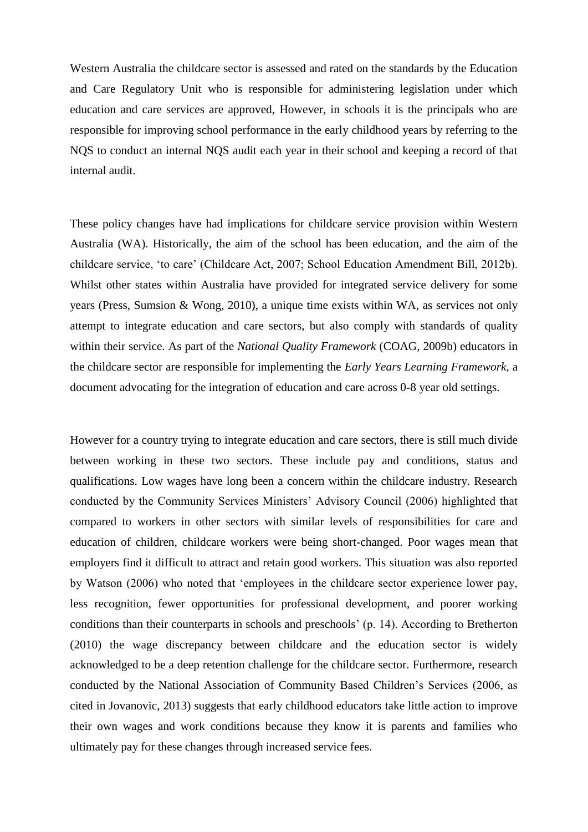Western Australia the childcare sector is assessed and rated on the standards by the Education and Care Regulatory Unit who is responsible for administering legislation under which education and care services are approved, However, in schools it is the principals who are responsible for improving school performance in the early childhood years by referring to the NQS to conduct an internal NQS audit each year in their school and keeping a record of that internal audit.

These policy changes have had implications for childcare service provision within Western Australia (WA). Historically, the aim of the school has been education, and the aim of the childcare service, 'to care' (Childcare Act, 2007; School Education Amendment Bill, 2012b). Whilst other states within Australia have provided for integrated service delivery for some years (Press, Sumsion & Wong, 2010), a unique time exists within WA, as services not only attempt to integrate education and care sectors, but also comply with standards of quality within their service. As part of the *National Quality Framework* (COAG, 2009b) educators in the childcare sector are responsible for implementing the *Early Years Learning Framework,* a document advocating for the integration of education and care across 0-8 year old settings.

However for a country trying to integrate education and care sectors, there is still much divide between working in these two sectors. These include pay and conditions, status and qualifications. Low wages have long been a concern within the childcare industry. Research conducted by the Community Services Ministers' Advisory Council (2006) highlighted that compared to workers in other sectors with similar levels of responsibilities for care and education of children, childcare workers were being short-changed. Poor wages mean that employers find it difficult to attract and retain good workers. This situation was also reported by Watson (2006) who noted that 'employees in the childcare sector experience lower pay, less recognition, fewer opportunities for professional development, and poorer working conditions than their counterparts in schools and preschools' (p. 14). According to Bretherton (2010) the wage discrepancy between childcare and the education sector is widely acknowledged to be a deep retention challenge for the childcare sector. Furthermore, research conducted by the National Association of Community Based Children's Services (2006, as cited in Jovanovic, 2013) suggests that early childhood educators take little action to improve their own wages and work conditions because they know it is parents and families who ultimately pay for these changes through increased service fees.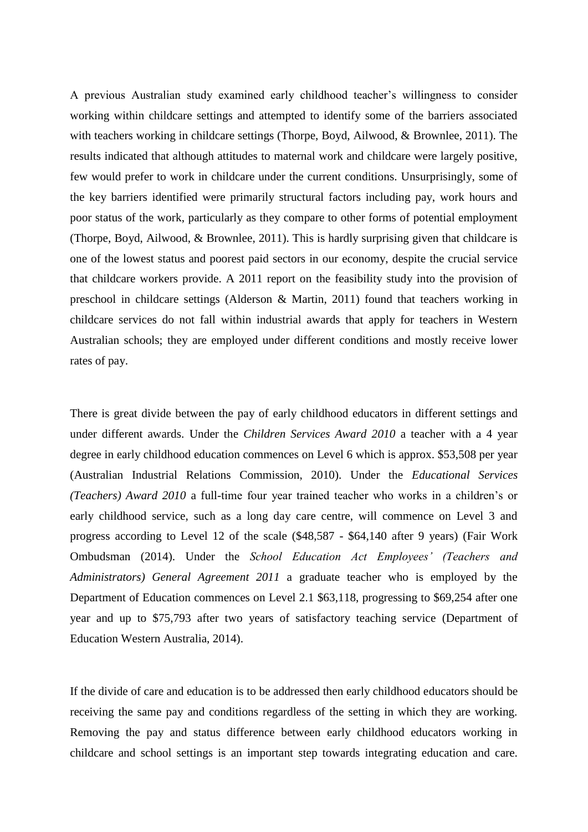A previous Australian study examined early childhood teacher's willingness to consider working within childcare settings and attempted to identify some of the barriers associated with teachers working in childcare settings (Thorpe, Boyd, Ailwood, & Brownlee, 2011). The results indicated that although attitudes to maternal work and childcare were largely positive, few would prefer to work in childcare under the current conditions. Unsurprisingly, some of the key barriers identified were primarily structural factors including pay, work hours and poor status of the work, particularly as they compare to other forms of potential employment (Thorpe, Boyd, Ailwood, & Brownlee, 2011). This is hardly surprising given that childcare is one of the lowest status and poorest paid sectors in our economy, despite the crucial service that childcare workers provide. A 2011 report on the feasibility study into the provision of preschool in childcare settings (Alderson & Martin, 2011) found that teachers working in childcare services do not fall within industrial awards that apply for teachers in Western Australian schools; they are employed under different conditions and mostly receive lower rates of pay.

There is great divide between the pay of early childhood educators in different settings and under different awards. Under the *Children Services Award 2010* a teacher with a 4 year degree in early childhood education commences on Level 6 which is approx. \$53,508 per year (Australian Industrial Relations Commission, 2010). Under the *Educational Services (Teachers) Award 2010* a full-time four year trained teacher who works in a children's or early childhood service, such as a long day care centre, will commence on Level 3 and progress according to Level 12 of the scale (\$48,587 - \$64,140 after 9 years) (Fair Work Ombudsman (2014). Under the *School Education Act Employees' (Teachers and Administrators) General Agreement 2011* a graduate teacher who is employed by the Department of Education commences on Level 2.1 \$63,118, progressing to \$69,254 after one year and up to \$75,793 after two years of satisfactory teaching service (Department of Education Western Australia, 2014).

If the divide of care and education is to be addressed then early childhood educators should be receiving the same pay and conditions regardless of the setting in which they are working. Removing the pay and status difference between early childhood educators working in childcare and school settings is an important step towards integrating education and care.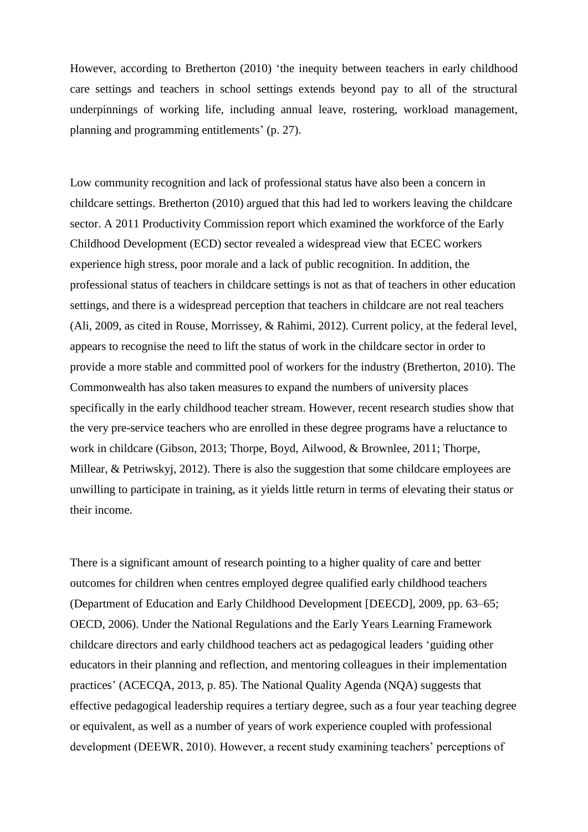However, according to Bretherton (2010) 'the inequity between teachers in early childhood care settings and teachers in school settings extends beyond pay to all of the structural underpinnings of working life, including annual leave, rostering, workload management, planning and programming entitlements' (p. 27).

Low community recognition and lack of professional status have also been a concern in childcare settings. Bretherton (2010) argued that this had led to workers leaving the childcare sector. A 2011 Productivity Commission report which examined the workforce of the Early Childhood Development (ECD) sector revealed a widespread view that ECEC workers experience high stress, poor morale and a lack of public recognition. In addition, the professional status of teachers in childcare settings is not as that of teachers in other education settings, and there is a widespread perception that teachers in childcare are not real teachers (Ali, 2009, as cited in Rouse, Morrissey, & Rahimi, 2012). Current policy, at the federal level, appears to recognise the need to lift the status of work in the childcare sector in order to provide a more stable and committed pool of workers for the industry (Bretherton, 2010). The Commonwealth has also taken measures to expand the numbers of university places specifically in the early childhood teacher stream. However, recent research studies show that the very pre-service teachers who are enrolled in these degree programs have a reluctance to work in childcare (Gibson, 2013; Thorpe, Boyd, Ailwood, & Brownlee, 2011; Thorpe, Millear, & Petriwskyj, 2012). There is also the suggestion that some childcare employees are unwilling to participate in training, as it yields little return in terms of elevating their status or their income.

There is a significant amount of research pointing to a higher quality of care and better outcomes for children when centres employed degree qualified early childhood teachers (Department of Education and Early Childhood Development [DEECD], 2009, pp. 63–65; OECD, 2006). Under the National Regulations and the Early Years Learning Framework childcare directors and early childhood teachers act as pedagogical leaders 'guiding other educators in their planning and reflection, and mentoring colleagues in their implementation practices' (ACECQA, 2013, p. 85). The National Quality Agenda (NQA) suggests that effective pedagogical leadership requires a tertiary degree, such as a four year teaching degree or equivalent, as well as a number of years of work experience coupled with professional development (DEEWR, 2010). However, a recent study examining teachers' perceptions of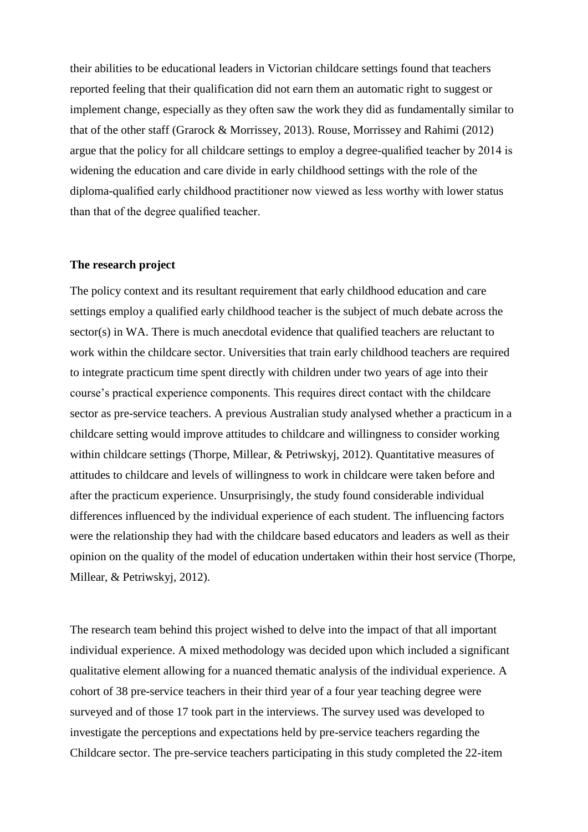their abilities to be educational leaders in Victorian childcare settings found that teachers reported feeling that their qualification did not earn them an automatic right to suggest or implement change, especially as they often saw the work they did as fundamentally similar to that of the other staff (Grarock & Morrissey, 2013). Rouse, Morrissey and Rahimi (2012) argue that the policy for all childcare settings to employ a degree-qualified teacher by 2014 is widening the education and care divide in early childhood settings with the role of the diploma-qualified early childhood practitioner now viewed as less worthy with lower status than that of the degree qualified teacher.

#### **The research project**

The policy context and its resultant requirement that early childhood education and care settings employ a qualified early childhood teacher is the subject of much debate across the sector(s) in WA. There is much anecdotal evidence that qualified teachers are reluctant to work within the childcare sector. Universities that train early childhood teachers are required to integrate practicum time spent directly with children under two years of age into their course's practical experience components. This requires direct contact with the childcare sector as pre-service teachers. A previous Australian study analysed whether a practicum in a childcare setting would improve attitudes to childcare and willingness to consider working within childcare settings (Thorpe, Millear, & Petriwskyj, 2012). Quantitative measures of attitudes to childcare and levels of willingness to work in childcare were taken before and after the practicum experience. Unsurprisingly, the study found considerable individual differences influenced by the individual experience of each student. The influencing factors were the relationship they had with the childcare based educators and leaders as well as their opinion on the quality of the model of education undertaken within their host service (Thorpe, Millear, & Petriwskyj, 2012).

The research team behind this project wished to delve into the impact of that all important individual experience. A mixed methodology was decided upon which included a significant qualitative element allowing for a nuanced thematic analysis of the individual experience. A cohort of 38 pre-service teachers in their third year of a four year teaching degree were surveyed and of those 17 took part in the interviews. The survey used was developed to investigate the perceptions and expectations held by pre-service teachers regarding the Childcare sector. The pre-service teachers participating in this study completed the 22-item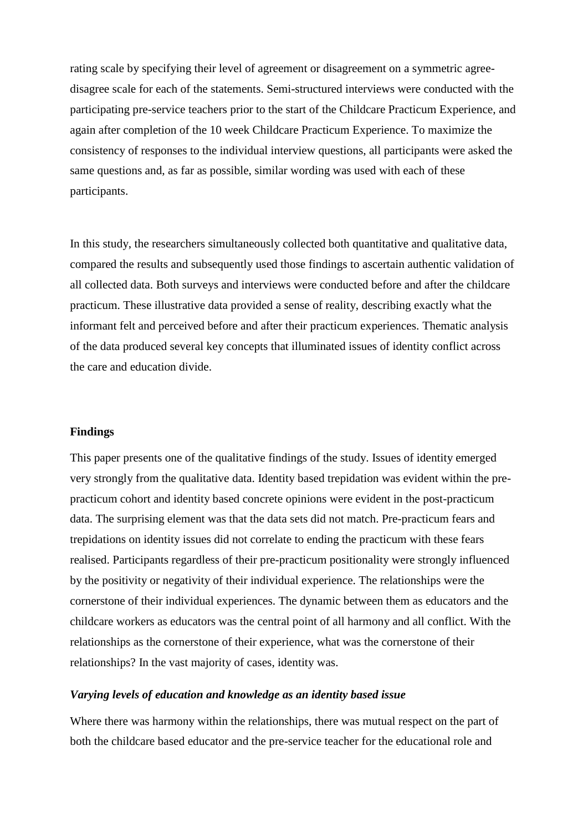rating scale by specifying their level of agreement or disagreement on a symmetric agreedisagree scale for each of the statements. Semi-structured interviews were conducted with the participating pre-service teachers prior to the start of the Childcare Practicum Experience, and again after completion of the 10 week Childcare Practicum Experience. To maximize the consistency of responses to the individual interview questions, all participants were asked the same questions and, as far as possible, similar wording was used with each of these participants.

In this study, the researchers simultaneously collected both quantitative and qualitative data, compared the results and subsequently used those findings to ascertain authentic validation of all collected data. Both surveys and interviews were conducted before and after the childcare practicum. These illustrative data provided a sense of reality, describing exactly what the informant felt and perceived before and after their practicum experiences. Thematic analysis of the data produced several key concepts that illuminated issues of identity conflict across the care and education divide.

#### **Findings**

This paper presents one of the qualitative findings of the study. Issues of identity emerged very strongly from the qualitative data. Identity based trepidation was evident within the prepracticum cohort and identity based concrete opinions were evident in the post-practicum data. The surprising element was that the data sets did not match. Pre-practicum fears and trepidations on identity issues did not correlate to ending the practicum with these fears realised. Participants regardless of their pre-practicum positionality were strongly influenced by the positivity or negativity of their individual experience. The relationships were the cornerstone of their individual experiences. The dynamic between them as educators and the childcare workers as educators was the central point of all harmony and all conflict. With the relationships as the cornerstone of their experience, what was the cornerstone of their relationships? In the vast majority of cases, identity was.

#### *Varying levels of education and knowledge as an identity based issue*

Where there was harmony within the relationships, there was mutual respect on the part of both the childcare based educator and the pre-service teacher for the educational role and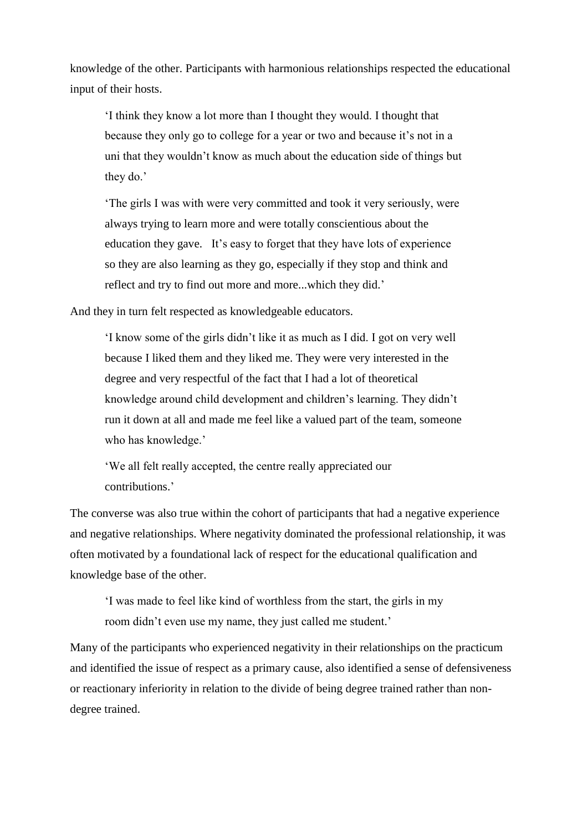knowledge of the other. Participants with harmonious relationships respected the educational input of their hosts.

'I think they know a lot more than I thought they would. I thought that because they only go to college for a year or two and because it's not in a uni that they wouldn't know as much about the education side of things but they do.'

'The girls I was with were very committed and took it very seriously, were always trying to learn more and were totally conscientious about the education they gave. It's easy to forget that they have lots of experience so they are also learning as they go, especially if they stop and think and reflect and try to find out more and more...which they did.'

And they in turn felt respected as knowledgeable educators.

'I know some of the girls didn't like it as much as I did. I got on very well because I liked them and they liked me. They were very interested in the degree and very respectful of the fact that I had a lot of theoretical knowledge around child development and children's learning. They didn't run it down at all and made me feel like a valued part of the team, someone who has knowledge.'

'We all felt really accepted, the centre really appreciated our contributions.'

The converse was also true within the cohort of participants that had a negative experience and negative relationships. Where negativity dominated the professional relationship, it was often motivated by a foundational lack of respect for the educational qualification and knowledge base of the other.

'I was made to feel like kind of worthless from the start, the girls in my room didn't even use my name, they just called me student.'

Many of the participants who experienced negativity in their relationships on the practicum and identified the issue of respect as a primary cause, also identified a sense of defensiveness or reactionary inferiority in relation to the divide of being degree trained rather than nondegree trained.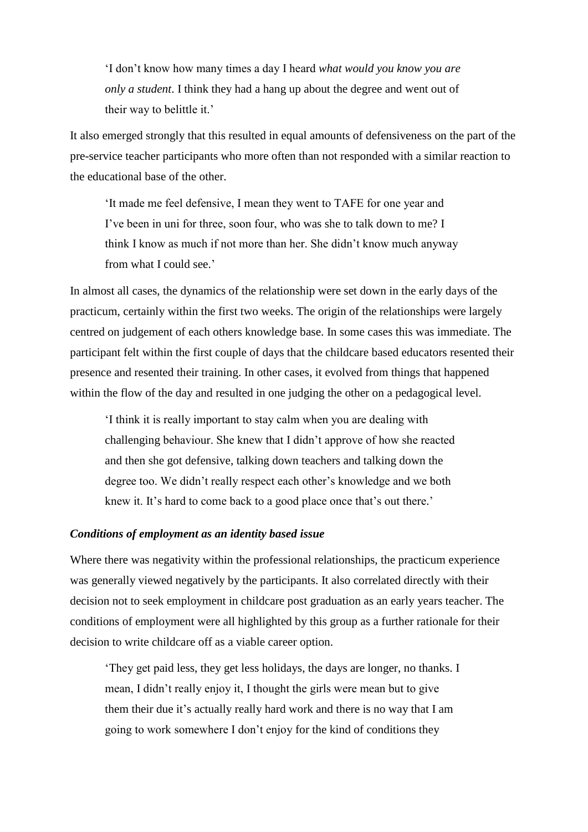'I don't know how many times a day I heard *what would you know you are only a student*. I think they had a hang up about the degree and went out of their way to belittle it.'

It also emerged strongly that this resulted in equal amounts of defensiveness on the part of the pre-service teacher participants who more often than not responded with a similar reaction to the educational base of the other.

'It made me feel defensive, I mean they went to TAFE for one year and I've been in uni for three, soon four, who was she to talk down to me? I think I know as much if not more than her. She didn't know much anyway from what I could see.'

In almost all cases, the dynamics of the relationship were set down in the early days of the practicum, certainly within the first two weeks. The origin of the relationships were largely centred on judgement of each others knowledge base. In some cases this was immediate. The participant felt within the first couple of days that the childcare based educators resented their presence and resented their training. In other cases, it evolved from things that happened within the flow of the day and resulted in one judging the other on a pedagogical level.

'I think it is really important to stay calm when you are dealing with challenging behaviour. She knew that I didn't approve of how she reacted and then she got defensive, talking down teachers and talking down the degree too. We didn't really respect each other's knowledge and we both knew it. It's hard to come back to a good place once that's out there.'

#### *Conditions of employment as an identity based issue*

Where there was negativity within the professional relationships, the practicum experience was generally viewed negatively by the participants. It also correlated directly with their decision not to seek employment in childcare post graduation as an early years teacher. The conditions of employment were all highlighted by this group as a further rationale for their decision to write childcare off as a viable career option.

'They get paid less, they get less holidays, the days are longer, no thanks. I mean, I didn't really enjoy it, I thought the girls were mean but to give them their due it's actually really hard work and there is no way that I am going to work somewhere I don't enjoy for the kind of conditions they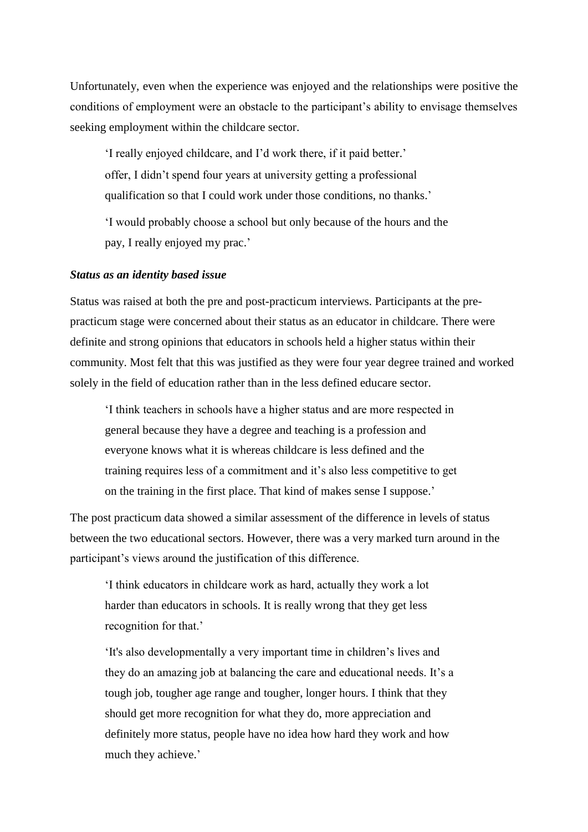Unfortunately, even when the experience was enjoyed and the relationships were positive the conditions of employment were an obstacle to the participant's ability to envisage themselves seeking employment within the childcare sector.

offer, I didn't spend four years at university getting a professional qualification so that I could work under those conditions, no thanks.' 'I really enjoyed childcare, and I'd work there, if it paid better.'

'I would probably choose a school but only because of the hours and the pay, I really enjoyed my prac.'

#### *Status as an identity based issue*

Status was raised at both the pre and post-practicum interviews. Participants at the prepracticum stage were concerned about their status as an educator in childcare. There were definite and strong opinions that educators in schools held a higher status within their community. Most felt that this was justified as they were four year degree trained and worked solely in the field of education rather than in the less defined educare sector.

'I think teachers in schools have a higher status and are more respected in general because they have a degree and teaching is a profession and everyone knows what it is whereas childcare is less defined and the training requires less of a commitment and it's also less competitive to get on the training in the first place. That kind of makes sense I suppose.'

The post practicum data showed a similar assessment of the difference in levels of status between the two educational sectors. However, there was a very marked turn around in the participant's views around the justification of this difference.

'I think educators in childcare work as hard, actually they work a lot harder than educators in schools. It is really wrong that they get less recognition for that.'

'It's also developmentally a very important time in children's lives and they do an amazing job at balancing the care and educational needs. It's a tough job, tougher age range and tougher, longer hours. I think that they should get more recognition for what they do, more appreciation and definitely more status, people have no idea how hard they work and how much they achieve.'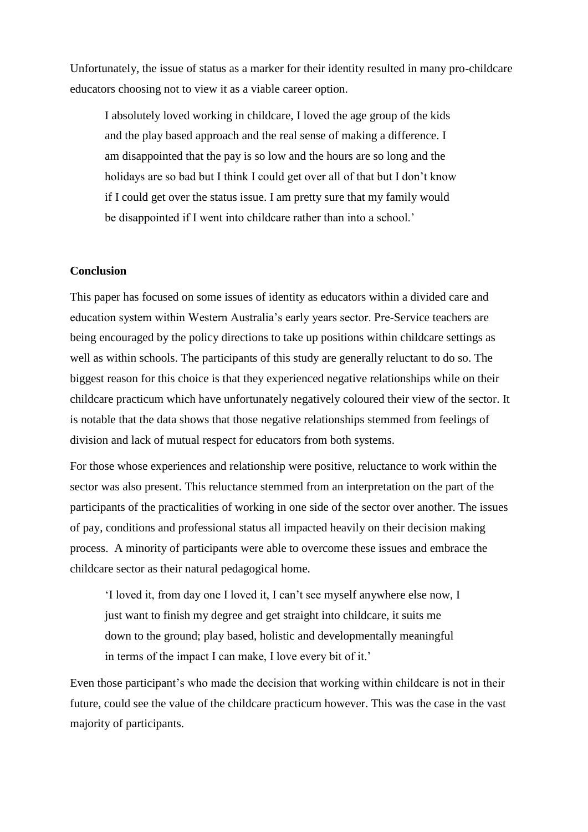Unfortunately, the issue of status as a marker for their identity resulted in many pro-childcare educators choosing not to view it as a viable career option.

I absolutely loved working in childcare, I loved the age group of the kids and the play based approach and the real sense of making a difference. I am disappointed that the pay is so low and the hours are so long and the holidays are so bad but I think I could get over all of that but I don't know if I could get over the status issue. I am pretty sure that my family would be disappointed if I went into childcare rather than into a school.'

## **Conclusion**

This paper has focused on some issues of identity as educators within a divided care and education system within Western Australia's early years sector. Pre-Service teachers are being encouraged by the policy directions to take up positions within childcare settings as well as within schools. The participants of this study are generally reluctant to do so. The biggest reason for this choice is that they experienced negative relationships while on their childcare practicum which have unfortunately negatively coloured their view of the sector. It is notable that the data shows that those negative relationships stemmed from feelings of division and lack of mutual respect for educators from both systems.

For those whose experiences and relationship were positive, reluctance to work within the sector was also present. This reluctance stemmed from an interpretation on the part of the participants of the practicalities of working in one side of the sector over another. The issues of pay, conditions and professional status all impacted heavily on their decision making process. A minority of participants were able to overcome these issues and embrace the childcare sector as their natural pedagogical home.

'I loved it, from day one I loved it, I can't see myself anywhere else now, I just want to finish my degree and get straight into childcare, it suits me down to the ground; play based, holistic and developmentally meaningful in terms of the impact I can make, I love every bit of it.'

Even those participant's who made the decision that working within childcare is not in their future, could see the value of the childcare practicum however. This was the case in the vast majority of participants.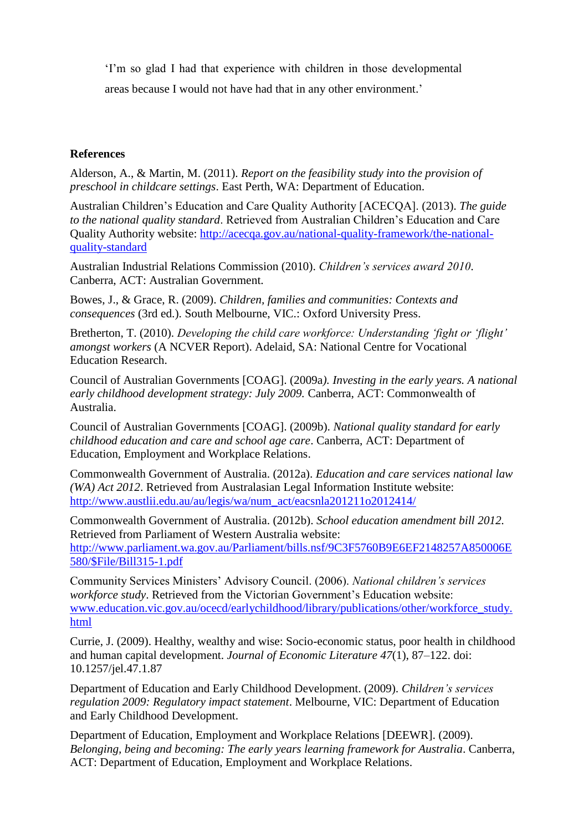'I'm so glad I had that experience with children in those developmental areas because I would not have had that in any other environment.'

## **References**

Alderson, A., & Martin, M. (2011). *Report on the feasibility study into the provision of preschool in childcare settings*. East Perth, WA: Department of Education.

Australian Children's Education and Care Quality Authority [ACECQA]. (2013). *The guide to the national quality standard*. Retrieved from Australian Children's Education and Care Quality Authority website: [http://acecqa.gov.au/national-quality-framework/the-national](http://acecqa.gov.au/national-quality-framework/the-national-quality-standard)[quality-standard](http://acecqa.gov.au/national-quality-framework/the-national-quality-standard)

Australian Industrial Relations Commission (2010). *Children's services award 2010*. Canberra, ACT: Australian Government.

Bowes, J., & Grace, R. (2009). *Children, families and communities: Contexts and consequences* (3rd ed.). South Melbourne, VIC.: Oxford University Press.

Bretherton, T. (2010). *Developing the child care workforce: Understanding 'fight or 'flight' amongst workers* (A NCVER Report). Adelaid, SA: National Centre for Vocational Education Research.

Council of Australian Governments [COAG]. (2009a*). Investing in the early years. A national early childhood development strategy: July 2009.* Canberra, ACT: Commonwealth of Australia.

Council of Australian Governments [COAG]. (2009b). *National quality standard for early childhood education and care and school age care*. Canberra, ACT: Department of Education, Employment and Workplace Relations.

Commonwealth Government of Australia. (2012a). *Education and care services national law (WA) Act 2012*. Retrieved from Australasian Legal Information Institute website: [http://www.austlii.edu.au/au/legis/wa/num\\_act/eacsnla201211o2012414/](http://www.austlii.edu.au/au/legis/wa/num_act/eacsnla201211o2012414/)

Commonwealth Government of Australia. (2012b). *School education amendment bill 2012.*  Retrieved from Parliament of Western Australia website: [http://www.parliament.wa.gov.au/Parliament/bills.nsf/9C3F5760B9E6EF2148257A850006E](http://www.parliament.wa.gov.au/Parliament/bills.nsf/9C3F5760B9E6EF2148257A850006E580/$File/Bill315-1.pdf) [580/\\$File/Bill315-1.pdf](http://www.parliament.wa.gov.au/Parliament/bills.nsf/9C3F5760B9E6EF2148257A850006E580/$File/Bill315-1.pdf)

Community Services Ministers' Advisory Council. (2006). *National children's services workforce study*. Retrieved from the Victorian Government's Education website: [www.education.vic.gov.au/ocecd/earlychildhood/library/publications/other/workforce\\_study.](http://www.education.vic.gov.au/ocecd/earlychildhood/library/publications/other/workforce_study.html) [html](http://www.education.vic.gov.au/ocecd/earlychildhood/library/publications/other/workforce_study.html)

Currie, J. (2009). Healthy, wealthy and wise: Socio-economic status, poor health in childhood and human capital development. *Journal of Economic Literature 47*(1), 87–122. doi: 10.1257/jel.47.1.87

Department of Education and Early Childhood Development. (2009). *Children's services regulation 2009: Regulatory impact statement*. Melbourne, VIC: Department of Education and Early Childhood Development.

Department of Education, Employment and Workplace Relations [DEEWR]. (2009). *Belonging, being and becoming: The early years learning framework for Australia*. Canberra, ACT: Department of Education, Employment and Workplace Relations.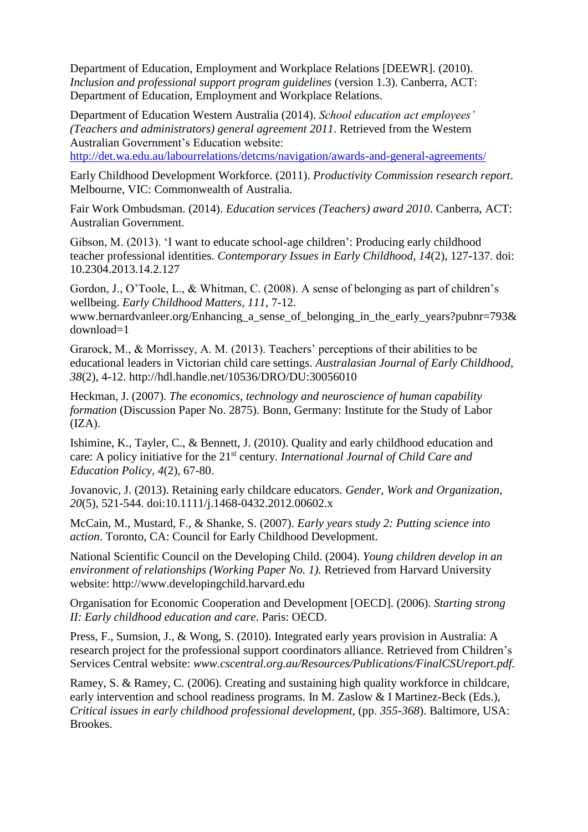Department of Education, Employment and Workplace Relations [DEEWR]. (2010). *Inclusion and professional support program guidelines* (version 1.3). Canberra, ACT: Department of Education, Employment and Workplace Relations.

Department of Education Western Australia (2014). *School education act employees' (Teachers and administrators) general agreement 2011*. Retrieved from the Western Australian Government's Education website:

<http://det.wa.edu.au/labourrelations/detcms/navigation/awards-and-general-agreements/>

Early Childhood Development Workforce. (2011). *Productivity Commission research report*. Melbourne, VIC: Commonwealth of Australia.

Fair Work Ombudsman. (2014). *Education services (Teachers) award 2010*. Canberra, ACT: Australian Government.

Gibson, M. (2013). 'I want to educate school-age children': Producing early childhood teacher professional identities. *Contemporary Issues in Early Childhood, 14*(2), 127-137. doi: 10.2304.2013.14.2.127

Gordon, J., O'Toole, L., & Whitman, C. (2008). A sense of belonging as part of children's wellbeing. *Early Childhood Matters, 111*, 7-12.

www.bernardvanleer.org/Enhancing\_a\_sense\_of\_belonging\_in\_the\_early\_years?pubnr=793& download=1

Grarock, M., & Morrissey, A. M. (2013). Teachers' perceptions of their abilities to be educational leaders in Victorian child care settings. *Australasian Journal of Early Childhood, 38*(2), 4-12. http://hdl.handle.net/10536/DRO/DU:30056010

Heckman, J. (2007). *The economics, technology and neuroscience of human capability formation* (Discussion Paper No. 2875). Bonn, Germany: Institute for the Study of Labor  $(IZA).$ 

Ishimine, K., Tayler, C., & Bennett, J. (2010). Quality and early childhood education and care: A policy initiative for the 21<sup>st</sup> century. *International Journal of Child Care and Education Policy, 4*(2), 67-80.

Jovanovic, J. (2013). Retaining early childcare educators. *Gender, Work and Organization, 20*(5), 521-544. doi:10.1111/j.1468-0432.2012.00602.x

McCain, M., Mustard, F., & Shanke, S. (2007). *Early years study 2: Putting science into action*. Toronto, CA: Council for Early Childhood Development.

National Scientific Council on the Developing Child. (2004). *Young children develop in an environment of relationships (Working Paper No. 1).* Retrieved from Harvard University website: http://www.developingchild.harvard.edu

Organisation for Economic Cooperation and Development [OECD]. (2006). *Starting strong II: Early childhood education and care*. Paris: OECD.

Press, F., Sumsion, J., & Wong, S. (2010). Integrated early years provision in Australia: A research project for the professional support coordinators alliance. Retrieved from Children's Services Central website: *www.cscentral.org.au/Resources/Publications/FinalCSUreport.pdf.*

Ramey, S. & Ramey, C. (2006). Creating and sustaining high quality workforce in childcare, early intervention and school readiness programs. In M. Zaslow & I Martinez-Beck (Eds.), *Critical issues in early childhood professional development,* (pp. *355-368*). Baltimore, USA: Brookes.